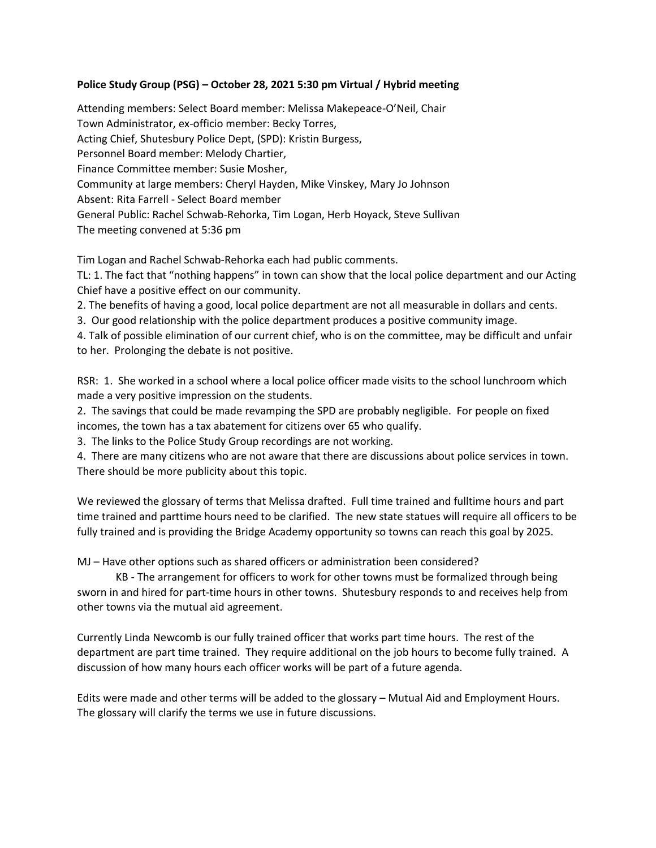## **Police Study Group (PSG) – October 28, 2021 5:30 pm Virtual / Hybrid meeting**

Attending members: Select Board member: Melissa Makepeace-O'Neil, Chair Town Administrator, ex-officio member: Becky Torres, Acting Chief, Shutesbury Police Dept, (SPD): Kristin Burgess, Personnel Board member: Melody Chartier, Finance Committee member: Susie Mosher, Community at large members: Cheryl Hayden, Mike Vinskey, Mary Jo Johnson Absent: Rita Farrell - Select Board member General Public: Rachel Schwab-Rehorka, Tim Logan, Herb Hoyack, Steve Sullivan The meeting convened at 5:36 pm

Tim Logan and Rachel Schwab-Rehorka each had public comments.

TL: 1. The fact that "nothing happens" in town can show that the local police department and our Acting Chief have a positive effect on our community.

2. The benefits of having a good, local police department are not all measurable in dollars and cents.

3. Our good relationship with the police department produces a positive community image.

4. Talk of possible elimination of our current chief, who is on the committee, may be difficult and unfair to her. Prolonging the debate is not positive.

RSR: 1. She worked in a school where a local police officer made visits to the school lunchroom which made a very positive impression on the students.

2. The savings that could be made revamping the SPD are probably negligible. For people on fixed incomes, the town has a tax abatement for citizens over 65 who qualify.

3. The links to the Police Study Group recordings are not working.

4. There are many citizens who are not aware that there are discussions about police services in town. There should be more publicity about this topic.

We reviewed the glossary of terms that Melissa drafted. Full time trained and fulltime hours and part time trained and parttime hours need to be clarified. The new state statues will require all officers to be fully trained and is providing the Bridge Academy opportunity so towns can reach this goal by 2025.

MJ – Have other options such as shared officers or administration been considered?

KB - The arrangement for officers to work for other towns must be formalized through being sworn in and hired for part-time hours in other towns. Shutesbury responds to and receives help from other towns via the mutual aid agreement.

Currently Linda Newcomb is our fully trained officer that works part time hours. The rest of the department are part time trained. They require additional on the job hours to become fully trained. A discussion of how many hours each officer works will be part of a future agenda.

Edits were made and other terms will be added to the glossary – Mutual Aid and Employment Hours. The glossary will clarify the terms we use in future discussions.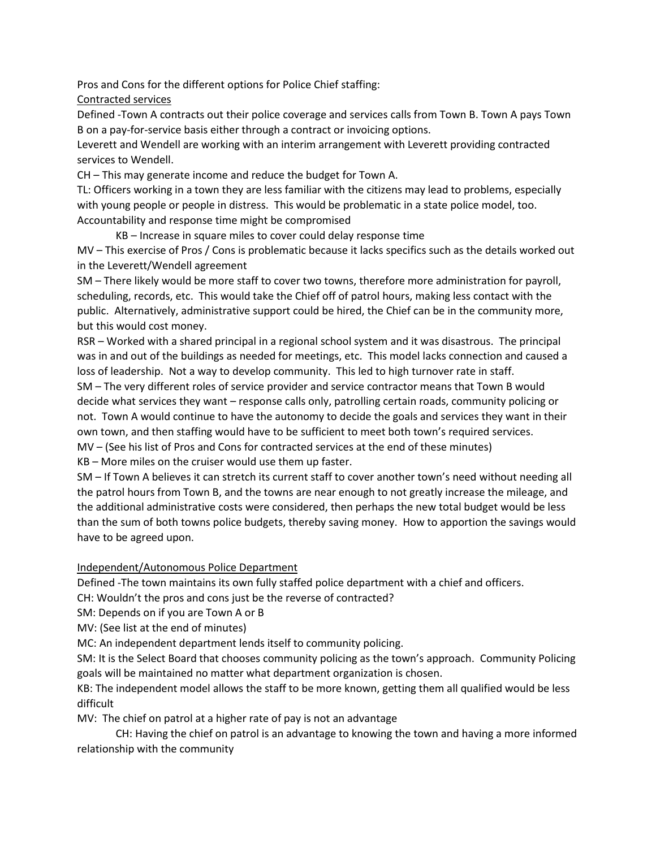Pros and Cons for the different options for Police Chief staffing:

Contracted services

Defined -Town A contracts out their police coverage and services calls from Town B. Town A pays Town B on a pay-for-service basis either through a contract or invoicing options.

Leverett and Wendell are working with an interim arrangement with Leverett providing contracted services to Wendell.

CH – This may generate income and reduce the budget for Town A.

TL: Officers working in a town they are less familiar with the citizens may lead to problems, especially with young people or people in distress. This would be problematic in a state police model, too. Accountability and response time might be compromised

KB – Increase in square miles to cover could delay response time

MV – This exercise of Pros / Cons is problematic because it lacks specifics such as the details worked out in the Leverett/Wendell agreement

SM – There likely would be more staff to cover two towns, therefore more administration for payroll, scheduling, records, etc. This would take the Chief off of patrol hours, making less contact with the public. Alternatively, administrative support could be hired, the Chief can be in the community more, but this would cost money.

RSR – Worked with a shared principal in a regional school system and it was disastrous. The principal was in and out of the buildings as needed for meetings, etc. This model lacks connection and caused a loss of leadership. Not a way to develop community. This led to high turnover rate in staff.

SM – The very different roles of service provider and service contractor means that Town B would decide what services they want – response calls only, patrolling certain roads, community policing or not. Town A would continue to have the autonomy to decide the goals and services they want in their own town, and then staffing would have to be sufficient to meet both town's required services.

MV – (See his list of Pros and Cons for contracted services at the end of these minutes)

KB – More miles on the cruiser would use them up faster.

SM – If Town A believes it can stretch its current staff to cover another town's need without needing all the patrol hours from Town B, and the towns are near enough to not greatly increase the mileage, and the additional administrative costs were considered, then perhaps the new total budget would be less than the sum of both towns police budgets, thereby saving money. How to apportion the savings would have to be agreed upon.

Independent/Autonomous Police Department

Defined -The town maintains its own fully staffed police department with a chief and officers.

CH: Wouldn't the pros and cons just be the reverse of contracted?

SM: Depends on if you are Town A or B

MV: (See list at the end of minutes)

MC: An independent department lends itself to community policing.

SM: It is the Select Board that chooses community policing as the town's approach. Community Policing goals will be maintained no matter what department organization is chosen.

KB: The independent model allows the staff to be more known, getting them all qualified would be less difficult

MV: The chief on patrol at a higher rate of pay is not an advantage

CH: Having the chief on patrol is an advantage to knowing the town and having a more informed relationship with the community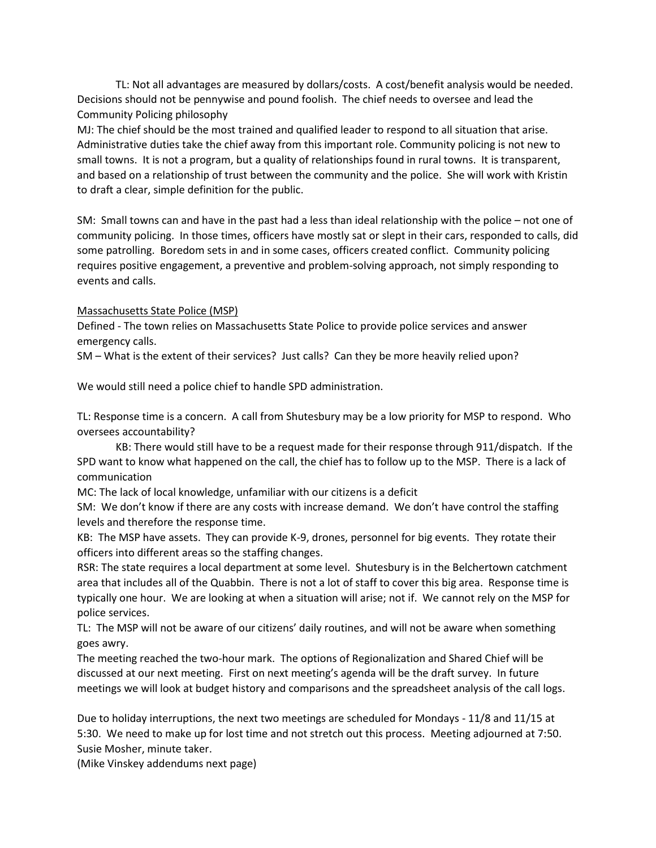TL: Not all advantages are measured by dollars/costs. A cost/benefit analysis would be needed. Decisions should not be pennywise and pound foolish. The chief needs to oversee and lead the Community Policing philosophy

MJ: The chief should be the most trained and qualified leader to respond to all situation that arise. Administrative duties take the chief away from this important role. Community policing is not new to small towns. It is not a program, but a quality of relationships found in rural towns. It is transparent, and based on a relationship of trust between the community and the police. She will work with Kristin to draft a clear, simple definition for the public.

SM: Small towns can and have in the past had a less than ideal relationship with the police – not one of community policing. In those times, officers have mostly sat or slept in their cars, responded to calls, did some patrolling. Boredom sets in and in some cases, officers created conflict. Community policing requires positive engagement, a preventive and problem-solving approach, not simply responding to events and calls.

### Massachusetts State Police (MSP)

Defined - The town relies on Massachusetts State Police to provide police services and answer emergency calls.

SM – What is the extent of their services? Just calls? Can they be more heavily relied upon?

We would still need a police chief to handle SPD administration.

TL: Response time is a concern. A call from Shutesbury may be a low priority for MSP to respond. Who oversees accountability?

KB: There would still have to be a request made for their response through 911/dispatch. If the SPD want to know what happened on the call, the chief has to follow up to the MSP. There is a lack of communication

MC: The lack of local knowledge, unfamiliar with our citizens is a deficit

SM: We don't know if there are any costs with increase demand. We don't have control the staffing levels and therefore the response time.

KB: The MSP have assets. They can provide K-9, drones, personnel for big events. They rotate their officers into different areas so the staffing changes.

RSR: The state requires a local department at some level. Shutesbury is in the Belchertown catchment area that includes all of the Quabbin. There is not a lot of staff to cover this big area. Response time is typically one hour. We are looking at when a situation will arise; not if. We cannot rely on the MSP for police services.

TL: The MSP will not be aware of our citizens' daily routines, and will not be aware when something goes awry.

The meeting reached the two-hour mark. The options of Regionalization and Shared Chief will be discussed at our next meeting. First on next meeting's agenda will be the draft survey. In future meetings we will look at budget history and comparisons and the spreadsheet analysis of the call logs.

Due to holiday interruptions, the next two meetings are scheduled for Mondays - 11/8 and 11/15 at 5:30. We need to make up for lost time and not stretch out this process. Meeting adjourned at 7:50. Susie Mosher, minute taker.

(Mike Vinskey addendums next page)